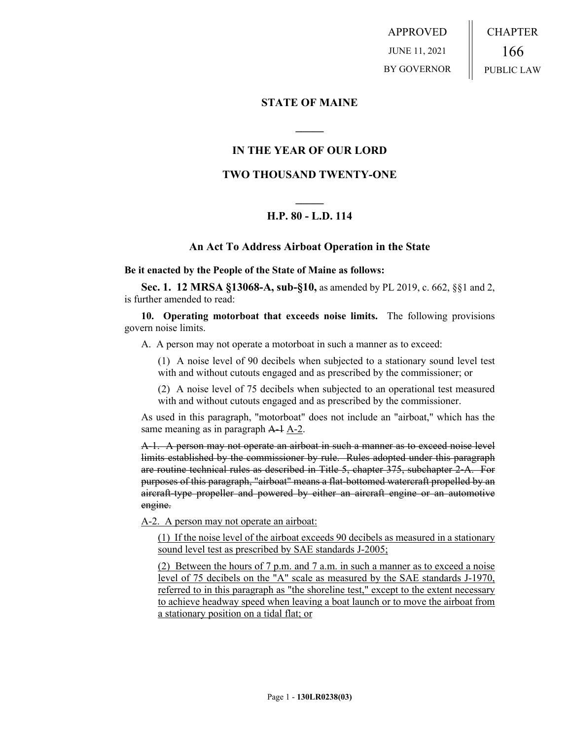APPROVED JUNE 11, 2021 BY GOVERNOR CHAPTER 166 PUBLIC LAW

### **STATE OF MAINE**

## **IN THE YEAR OF OUR LORD**

**\_\_\_\_\_**

### **TWO THOUSAND TWENTY-ONE**

# **\_\_\_\_\_ H.P. 80 - L.D. 114**

#### **An Act To Address Airboat Operation in the State**

**Be it enacted by the People of the State of Maine as follows:**

**Sec. 1. 12 MRSA §13068-A, sub-§10,** as amended by PL 2019, c. 662, §§1 and 2, is further amended to read:

**10. Operating motorboat that exceeds noise limits.** The following provisions govern noise limits.

A. A person may not operate a motorboat in such a manner as to exceed:

(1) A noise level of 90 decibels when subjected to a stationary sound level test with and without cutouts engaged and as prescribed by the commissioner; or

(2) A noise level of 75 decibels when subjected to an operational test measured with and without cutouts engaged and as prescribed by the commissioner.

As used in this paragraph, "motorboat" does not include an "airboat," which has the same meaning as in paragraph A-1 A-2.

A-1. A person may not operate an airboat in such a manner as to exceed noise level limits established by the commissioner by rule. Rules adopted under this paragraph are routine technical rules as described in Title 5, chapter 375, subchapter 2‑A. For purposes of this paragraph, "airboat" means a flat-bottomed watercraft propelled by an aircraft-type propeller and powered by either an aircraft engine or an automotive engine.

A-2. A person may not operate an airboat:

(1) If the noise level of the airboat exceeds 90 decibels as measured in a stationary sound level test as prescribed by SAE standards J-2005;

(2) Between the hours of 7 p.m. and 7 a.m. in such a manner as to exceed a noise level of 75 decibels on the "A" scale as measured by the SAE standards J-1970, referred to in this paragraph as "the shoreline test," except to the extent necessary to achieve headway speed when leaving a boat launch or to move the airboat from a stationary position on a tidal flat; or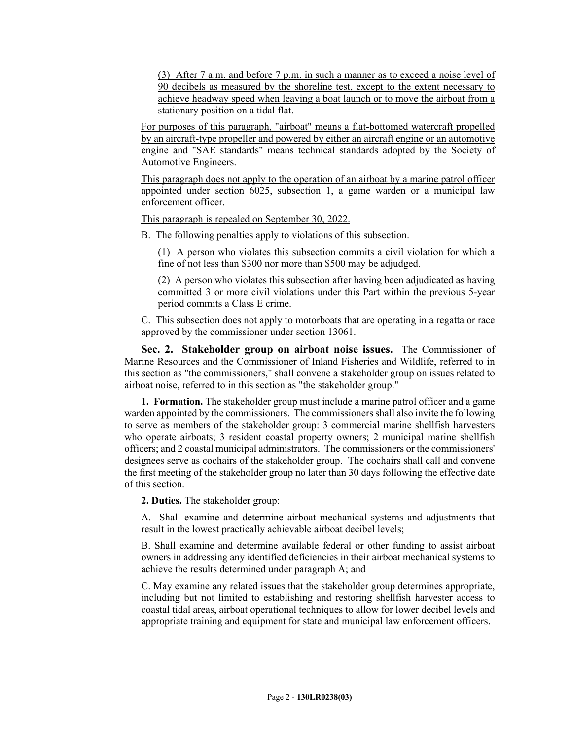(3) After 7 a.m. and before 7 p.m. in such a manner as to exceed a noise level of 90 decibels as measured by the shoreline test, except to the extent necessary to achieve headway speed when leaving a boat launch or to move the airboat from a stationary position on a tidal flat.

For purposes of this paragraph, "airboat" means a flat-bottomed watercraft propelled by an aircraft-type propeller and powered by either an aircraft engine or an automotive engine and "SAE standards" means technical standards adopted by the Society of Automotive Engineers.

This paragraph does not apply to the operation of an airboat by a marine patrol officer appointed under section 6025, subsection 1, a game warden or a municipal law enforcement officer.

This paragraph is repealed on September 30, 2022.

B. The following penalties apply to violations of this subsection.

(1) A person who violates this subsection commits a civil violation for which a fine of not less than \$300 nor more than \$500 may be adjudged.

(2) A person who violates this subsection after having been adjudicated as having committed 3 or more civil violations under this Part within the previous 5-year period commits a Class E crime.

C. This subsection does not apply to motorboats that are operating in a regatta or race approved by the commissioner under section 13061.

**Sec. 2. Stakeholder group on airboat noise issues.** The Commissioner of Marine Resources and the Commissioner of Inland Fisheries and Wildlife, referred to in this section as "the commissioners," shall convene a stakeholder group on issues related to airboat noise, referred to in this section as "the stakeholder group."

**1. Formation.** The stakeholder group must include a marine patrol officer and a game warden appointed by the commissioners. The commissioners shall also invite the following to serve as members of the stakeholder group: 3 commercial marine shellfish harvesters who operate airboats; 3 resident coastal property owners; 2 municipal marine shellfish officers; and 2 coastal municipal administrators. The commissioners or the commissioners' designees serve as cochairs of the stakeholder group. The cochairs shall call and convene the first meeting of the stakeholder group no later than 30 days following the effective date of this section.

**2. Duties.** The stakeholder group:

A. Shall examine and determine airboat mechanical systems and adjustments that result in the lowest practically achievable airboat decibel levels;

B. Shall examine and determine available federal or other funding to assist airboat owners in addressing any identified deficiencies in their airboat mechanical systems to achieve the results determined under paragraph A; and

C. May examine any related issues that the stakeholder group determines appropriate, including but not limited to establishing and restoring shellfish harvester access to coastal tidal areas, airboat operational techniques to allow for lower decibel levels and appropriate training and equipment for state and municipal law enforcement officers.